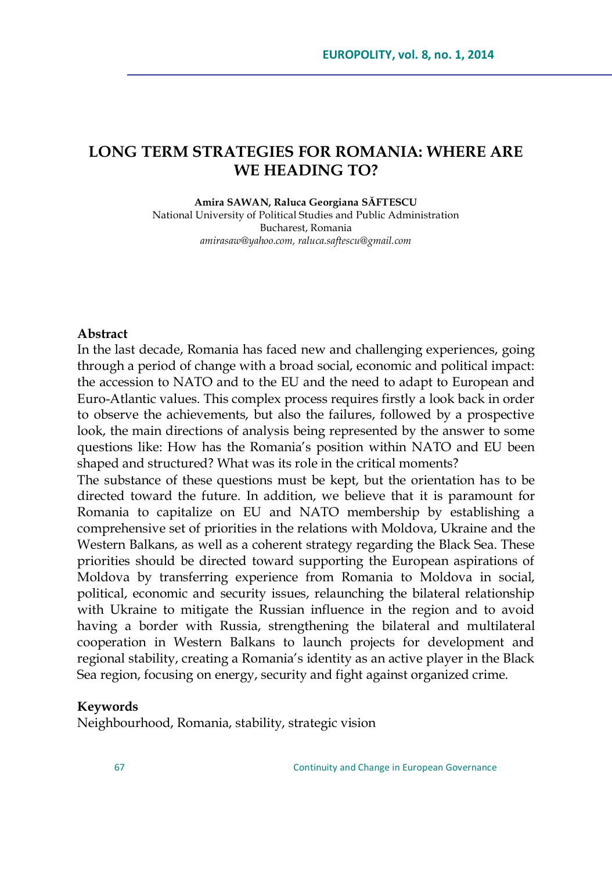# **LONG TERM STRATEGIES FOR ROMANIA: WHERE ARE WE HEADING TO?**

**Amira SAWAN, Raluca Georgiana SĂFTESCU**

National University of Political Studies and Public Administration Bucharest, Romania *[amirasaw@yahoo.com,](mailto:amirasaw@yahoo.com) [raluca.saftescu@gmail.com](mailto:raluca.saftescu@gmail.com)*

#### **Abstract**

In the last decade, Romania has faced new and challenging experiences, going through a period of change with a broad social, economic and political impact: the accession to NATO and to the EU and the need to adapt to European and Euro-Atlantic values. This complex process requires firstly a look back in order to observe the achievements, but also the failures, followed by a prospective look, the main directions of analysis being represented by the answer to some questions like: How has the Romania"s position within NATO and EU been shaped and structured? What was its role in the critical moments?

The substance of these questions must be kept, but the orientation has to be directed toward the future. In addition, we believe that it is paramount for Romania to capitalize on EU and NATO membership by establishing a comprehensive set of priorities in the relations with Moldova, Ukraine and the Western Balkans, as well as a coherent strategy regarding the Black Sea. These priorities should be directed toward supporting the European aspirations of Moldova by transferring experience from Romania to Moldova in social, political, economic and security issues, relaunching the bilateral relationship with Ukraine to mitigate the Russian influence in the region and to avoid having a border with Russia, strengthening the bilateral and multilateral cooperation in Western Balkans to launch projects for development and regional stability, creating a Romania's identity as an active player in the Black Sea region, focusing on energy, security and fight against organized crime.

#### **Keywords**

Neighbourhood, Romania, stability, strategic vision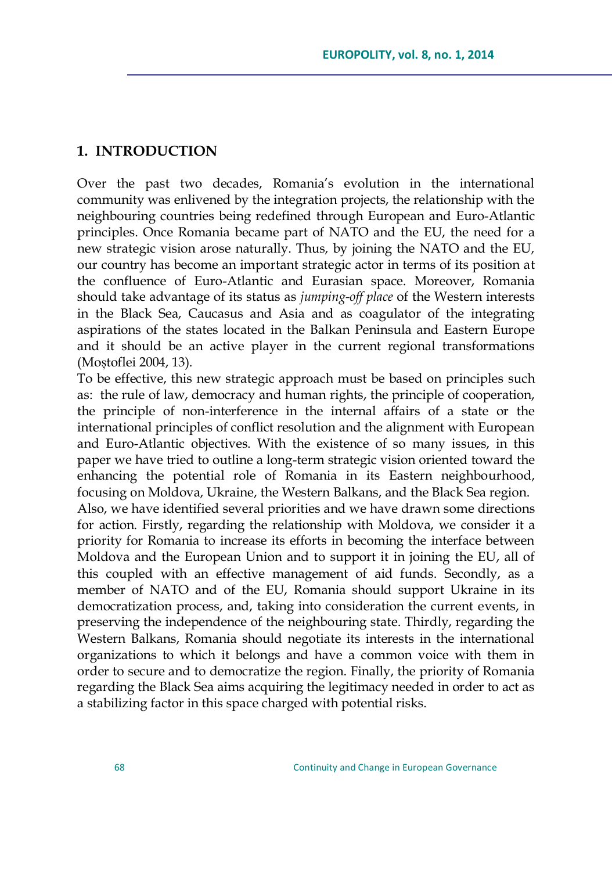#### **1. INTRODUCTION**

Over the past two decades, Romania"s evolution in the international community was enlivened by the integration projects, the relationship with the neighbouring countries being redefined through European and Euro-Atlantic principles. Once Romania became part of NATO and the EU, the need for a new strategic vision arose naturally. Thus, by joining the NATO and the EU, our country has become an important strategic actor in terms of its position at the confluence of Euro-Atlantic and Eurasian space. Moreover, Romania should take advantage of its status as *jumping-off place* of the Western interests in the Black Sea, Caucasus and Asia and as coagulator of the integrating aspirations of the states located in the Balkan Peninsula and Eastern Europe and it should be an active player in the current regional transformations (Moștoflei 2004, 13).

To be effective, this new strategic approach must be based on principles such as: the rule of law, democracy and human rights, the principle of cooperation, the principle of non-interference in the internal affairs of a state or the international principles of conflict resolution and the alignment with European and Euro-Atlantic objectives. With the existence of so many issues, in this paper we have tried to outline a long-term strategic vision oriented toward the enhancing the potential role of Romania in its Eastern neighbourhood, focusing on Moldova, Ukraine, the Western Balkans, and the Black Sea region. Also, we have identified several priorities and we have drawn some directions for action. Firstly, regarding the relationship with Moldova, we consider it a priority for Romania to increase its efforts in becoming the interface between Moldova and the European Union and to support it in joining the EU, all of this coupled with an effective management of aid funds. Secondly, as a member of NATO and of the EU, Romania should support Ukraine in its democratization process, and, taking into consideration the current events, in preserving the independence of the neighbouring state. Thirdly, regarding the Western Balkans, Romania should negotiate its interests in the international organizations to which it belongs and have a common voice with them in order to secure and to democratize the region. Finally, the priority of Romania regarding the Black Sea aims acquiring the legitimacy needed in order to act as a stabilizing factor in this space charged with potential risks.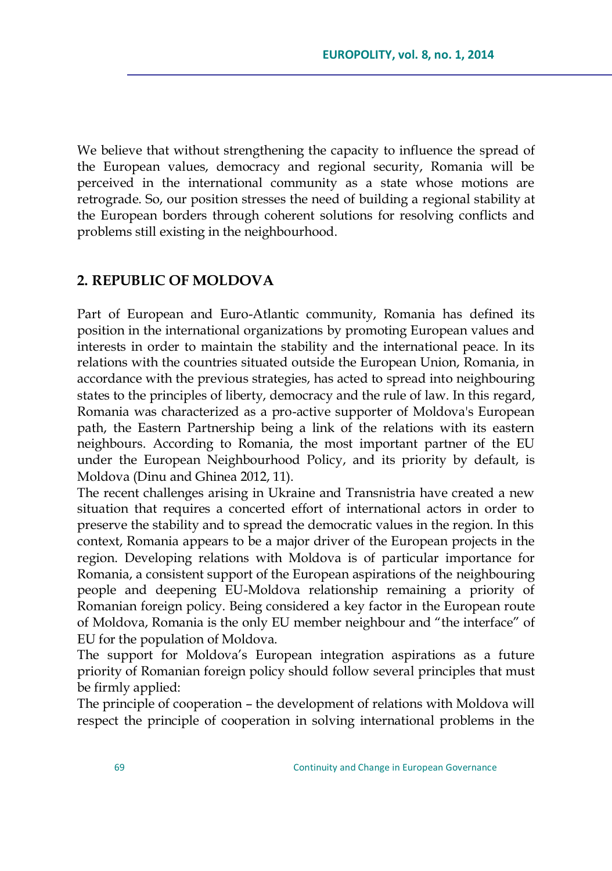We believe that without strengthening the capacity to influence the spread of the European values, democracy and regional security, Romania will be perceived in the international community as a state whose motions are retrograde. So, our position stresses the need of building a regional stability at the European borders through coherent solutions for resolving conflicts and problems still existing in the neighbourhood.

#### **2. REPUBLIC OF MOLDOVA**

Part of European and Euro-Atlantic community, Romania has defined its position in the international organizations by promoting European values and interests in order to maintain the stability and the international peace. In its relations with the countries situated outside the European Union, Romania, in accordance with the previous strategies, has acted to spread into neighbouring states to the principles of liberty, democracy and the rule of law. In this regard, Romania was characterized as a pro-active supporter of Moldova's European path, the Eastern Partnership being a link of the relations with its eastern neighbours. According to Romania, the most important partner of the EU under the European Neighbourhood Policy, and its priority by default, is Moldova (Dinu and Ghinea 2012, 11).

The recent challenges arising in Ukraine and Transnistria have created a new situation that requires a concerted effort of international actors in order to preserve the stability and to spread the democratic values in the region. In this context, Romania appears to be a major driver of the European projects in the region. Developing relations with Moldova is of particular importance for Romania, a consistent support of the European aspirations of the neighbouring people and deepening EU-Moldova relationship remaining a priority of Romanian foreign policy. Being considered a key factor in the European route of Moldova, Romania is the only EU member neighbour and "the interface" of EU for the population of Moldova.

The support for Moldova"s European integration aspirations as a future priority of Romanian foreign policy should follow several principles that must be firmly applied:

The principle of cooperation – the development of relations with Moldova will respect the principle of cooperation in solving international problems in the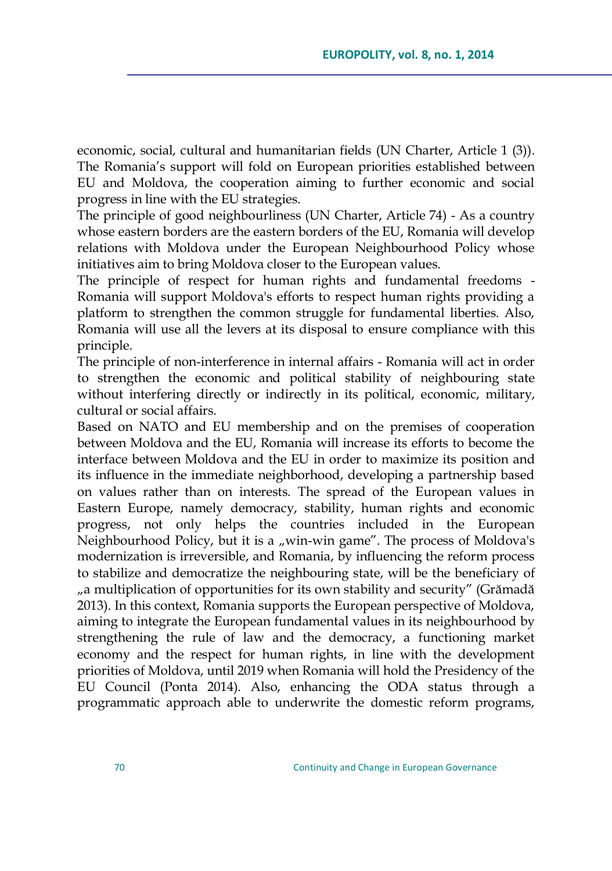economic, social, cultural and humanitarian fields (UN Charter, Article 1 (3)). The Romania's support will fold on European priorities established between EU and Moldova, the cooperation aiming to further economic and social progress in line with the EU strategies.

The principle of good neighbourliness (UN Charter, Article 74) - As a country whose eastern borders are the eastern borders of the EU, Romania will develop relations with Moldova under the European Neighbourhood Policy whose initiatives aim to bring Moldova closer to the European values.

The principle of respect for human rights and fundamental freedoms - Romania will support Moldova's efforts to respect human rights providing a platform to strengthen the common struggle for fundamental liberties. Also, Romania will use all the levers at its disposal to ensure compliance with this principle.

The principle of non-interference in internal affairs - Romania will act in order to strengthen the economic and political stability of neighbouring state without interfering directly or indirectly in its political, economic, military, cultural or social affairs.

Based on NATO and EU membership and on the premises of cooperation between Moldova and the EU, Romania will increase its efforts to become the interface between Moldova and the EU in order to maximize its position and its influence in the immediate neighborhood, developing a partnership based on values rather than on interests. The spread of the European values in Eastern Europe, namely democracy, stability, human rights and economic progress, not only helps the countries included in the European Neighbourhood Policy, but it is a "win-win game". The process of Moldova's modernization is irreversible, and Romania, by influencing the reform process to stabilize and democratize the neighbouring state, will be the beneficiary of "a multiplication of opportunities for its own stability and security" (Grămadă 2013). In this context, Romania supports the European perspective of Moldova, aiming to integrate the European fundamental values in its neighbourhood by strengthening the rule of law and the democracy, a functioning market economy and the respect for human rights, in line with the development priorities of Moldova, until 2019 when Romania will hold the Presidency of the EU Council (Ponta 2014). Also, enhancing the ODA status through a programmatic approach able to underwrite the domestic reform programs,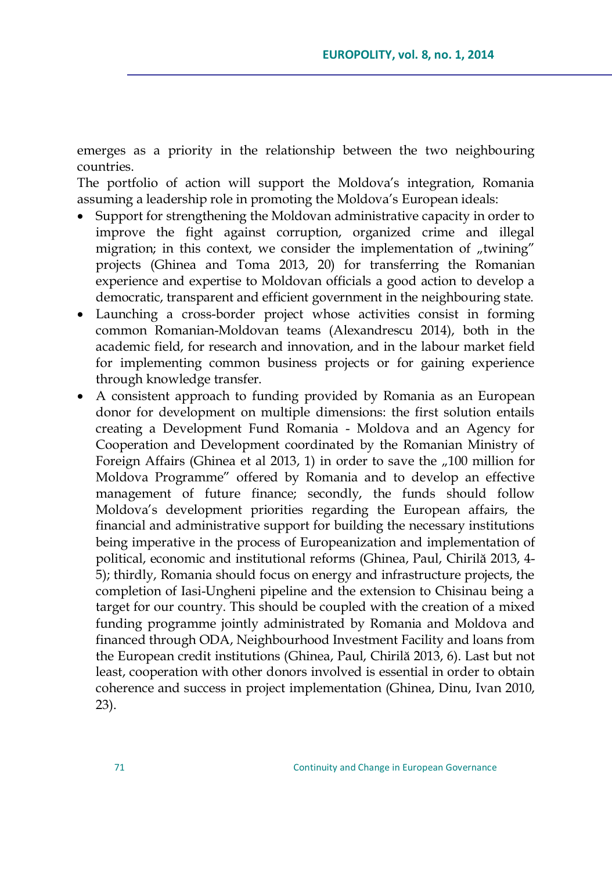emerges as a priority in the relationship between the two neighbouring countries.

The portfolio of action will support the Moldova"s integration, Romania assuming a leadership role in promoting the Moldova's European ideals:

- Support for strengthening the Moldovan administrative capacity in order to improve the fight against corruption, organized crime and illegal migration; in this context, we consider the implementation of "twining" projects (Ghinea and Toma 2013, 20) for transferring the Romanian experience and expertise to Moldovan officials a good action to develop a democratic, transparent and efficient government in the neighbouring state.
- Launching a cross-border project whose activities consist in forming common Romanian-Moldovan teams (Alexandrescu 2014), both in the academic field, for research and innovation, and in the labour market field for implementing common business projects or for gaining experience through knowledge transfer.
- A consistent approach to funding provided by Romania as an European donor for development on multiple dimensions: the first solution entails creating a Development Fund Romania - Moldova and an Agency for Cooperation and Development coordinated by the Romanian Ministry of Foreign Affairs (Ghinea et al 2013, 1) in order to save the  $n/100$  million for Moldova Programme" offered by Romania and to develop an effective management of future finance; secondly, the funds should follow Moldova"s development priorities regarding the European affairs, the financial and administrative support for building the necessary institutions being imperative in the process of Europeanization and implementation of political, economic and institutional reforms (Ghinea, Paul, Chirilă 2013, 4- 5); thirdly, Romania should focus on energy and infrastructure projects, the completion of Iasi-Ungheni pipeline and the extension to Chisinau being a target for our country. This should be coupled with the creation of a mixed funding programme jointly administrated by Romania and Moldova and financed through ODA, Neighbourhood Investment Facility and loans from the European credit institutions (Ghinea, Paul, Chirilă 2013, 6). Last but not least, cooperation with other donors involved is essential in order to obtain coherence and success in project implementation (Ghinea, Dinu, Ivan 2010, 23).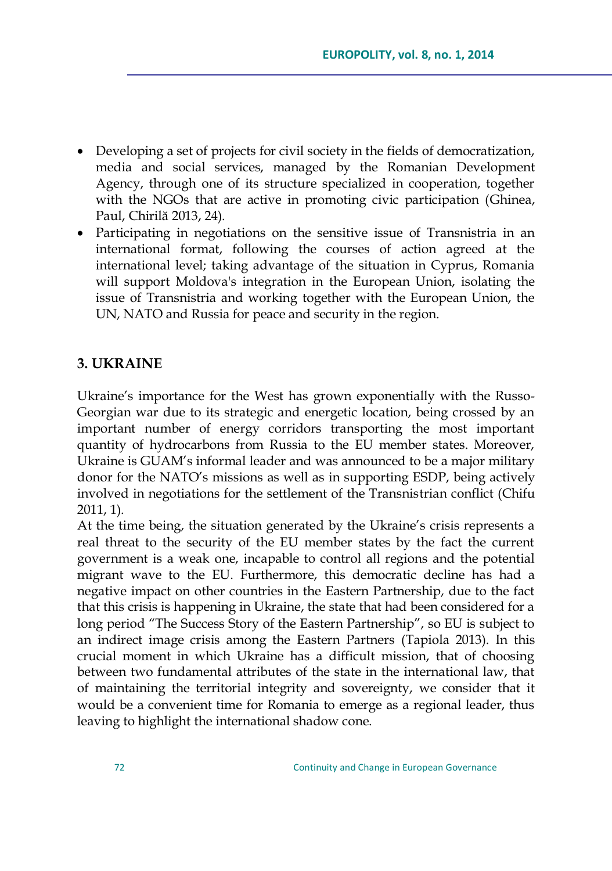- Developing a set of projects for civil society in the fields of democratization, media and social services, managed by the Romanian Development Agency, through one of its structure specialized in cooperation, together with the NGOs that are active in promoting civic participation (Ghinea, Paul, Chirilă 2013, 24).
- Participating in negotiations on the sensitive issue of Transnistria in an international format, following the courses of action agreed at the international level; taking advantage of the situation in Cyprus, Romania will support Moldova's integration in the European Union, isolating the issue of Transnistria and working together with the European Union, the UN, NATO and Russia for peace and security in the region.

## **3. UKRAINE**

Ukraine's importance for the West has grown exponentially with the Russo-Georgian war due to its strategic and energetic location, being crossed by an important number of energy corridors transporting the most important quantity of hydrocarbons from Russia to the EU member states. Moreover, Ukraine is GUAM"s informal leader and was announced to be a major military donor for the NATO"s missions as well as in supporting ESDP, being actively involved in negotiations for the settlement of the Transnistrian conflict (Chifu 2011, 1).

At the time being, the situation generated by the Ukraine"s crisis represents a real threat to the security of the EU member states by the fact the current government is a weak one, incapable to control all regions and the potential migrant wave to the EU. Furthermore, this democratic decline has had a negative impact on other countries in the Eastern Partnership, due to the fact that this crisis is happening in Ukraine, the state that had been considered for a long period "The Success Story of the Eastern Partnership", so EU is subject to an indirect image crisis among the Eastern Partners (Tapiola 2013). In this crucial moment in which Ukraine has a difficult mission, that of choosing between two fundamental attributes of the state in the international law, that of maintaining the territorial integrity and sovereignty, we consider that it would be a convenient time for Romania to emerge as a regional leader, thus leaving to highlight the international shadow cone.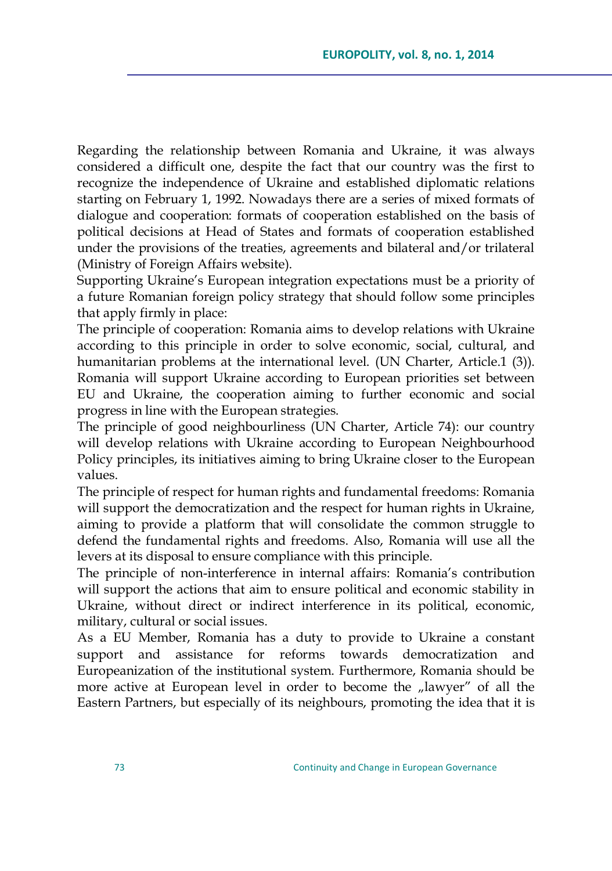Regarding the relationship between Romania and Ukraine, it was always considered a difficult one, despite the fact that our country was the first to recognize the independence of Ukraine and established diplomatic relations starting on February 1, 1992. Nowadays there are a series of mixed formats of dialogue and cooperation: formats of cooperation established on the basis of political decisions at Head of States and formats of cooperation established under the provisions of the treaties, agreements and bilateral and/or trilateral (Ministry of Foreign Affairs website).

Supporting Ukraine's European integration expectations must be a priority of a future Romanian foreign policy strategy that should follow some principles that apply firmly in place:

The principle of cooperation: Romania aims to develop relations with Ukraine according to this principle in order to solve economic, social, cultural, and humanitarian problems at the international level. (UN Charter, Article.1 (3)). Romania will support Ukraine according to European priorities set between EU and Ukraine, the cooperation aiming to further economic and social progress in line with the European strategies.

The principle of good neighbourliness (UN Charter, Article 74): our country will develop relations with Ukraine according to European Neighbourhood Policy principles, its initiatives aiming to bring Ukraine closer to the European values.

The principle of respect for human rights and fundamental freedoms: Romania will support the democratization and the respect for human rights in Ukraine, aiming to provide a platform that will consolidate the common struggle to defend the fundamental rights and freedoms. Also, Romania will use all the levers at its disposal to ensure compliance with this principle.

The principle of non-interference in internal affairs: Romania's contribution will support the actions that aim to ensure political and economic stability in Ukraine, without direct or indirect interference in its political, economic, military, cultural or social issues.

As a EU Member, Romania has a duty to provide to Ukraine a constant support and assistance for reforms towards democratization and Europeanization of the institutional system. Furthermore, Romania should be more active at European level in order to become the "lawyer" of all the Eastern Partners, but especially of its neighbours, promoting the idea that it is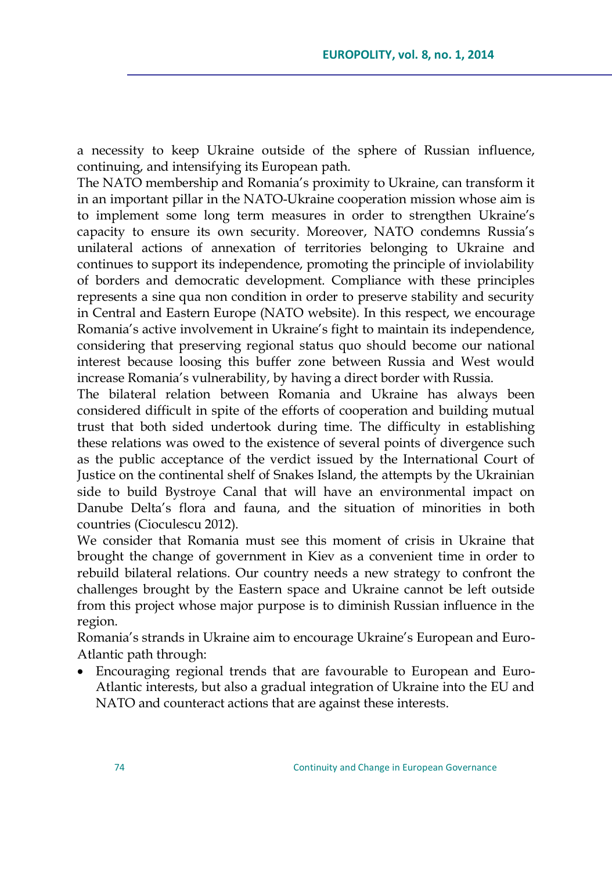a necessity to keep Ukraine outside of the sphere of Russian influence, continuing, and intensifying its European path.

The NATO membership and Romania's proximity to Ukraine, can transform it in an important pillar in the NATO-Ukraine cooperation mission whose aim is to implement some long term measures in order to strengthen Ukraine"s capacity to ensure its own security. Moreover, NATO condemns Russia"s unilateral actions of annexation of territories belonging to Ukraine and continues to support its independence, promoting the principle of inviolability of borders and democratic development. Compliance with these principles represents a sine qua non condition in order to preserve stability and security in Central and Eastern Europe (NATO website). In this respect, we encourage Romania's active involvement in Ukraine's fight to maintain its independence, considering that preserving regional status quo should become our national interest because loosing this buffer zone between Russia and West would increase Romania"s vulnerability, by having a direct border with Russia.

The bilateral relation between Romania and Ukraine has always been considered difficult in spite of the efforts of cooperation and building mutual trust that both sided undertook during time. The difficulty in establishing these relations was owed to the existence of several points of divergence such as the public acceptance of the verdict issued by the International Court of Justice on the continental shelf of Snakes Island, the attempts by the Ukrainian side to build Bystroye Canal that will have an environmental impact on Danube Delta"s flora and fauna, and the situation of minorities in both countries (Cioculescu 2012).

We consider that Romania must see this moment of crisis in Ukraine that brought the change of government in Kiev as a convenient time in order to rebuild bilateral relations. Our country needs a new strategy to confront the challenges brought by the Eastern space and Ukraine cannot be left outside from this project whose major purpose is to diminish Russian influence in the region.

Romania"s strands in Ukraine aim to encourage Ukraine"s European and Euro-Atlantic path through:

 Encouraging regional trends that are favourable to European and Euro-Atlantic interests, but also a gradual integration of Ukraine into the EU and NATO and counteract actions that are against these interests.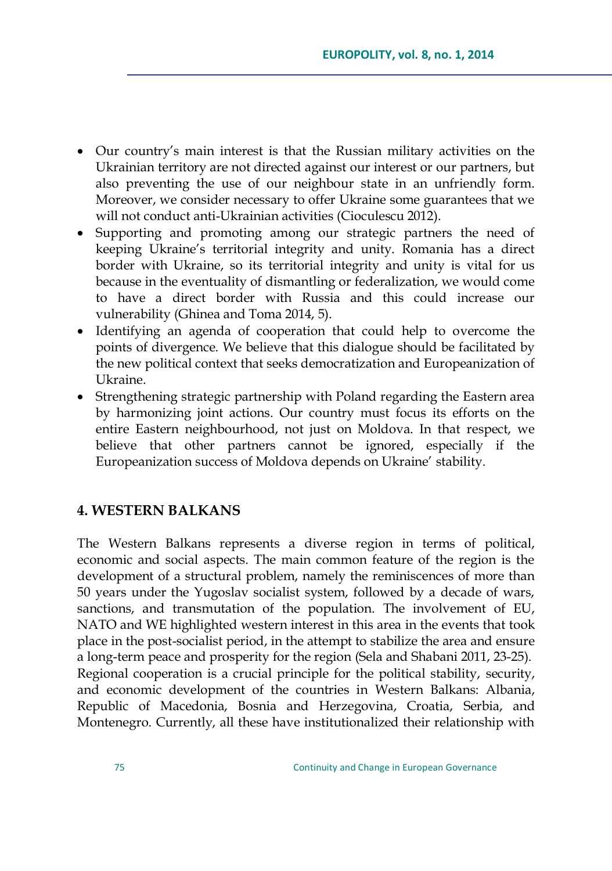- Our country"s main interest is that the Russian military activities on the Ukrainian territory are not directed against our interest or our partners, but also preventing the use of our neighbour state in an unfriendly form. Moreover, we consider necessary to offer Ukraine some guarantees that we will not conduct anti-Ukrainian activities (Cioculescu 2012).
- Supporting and promoting among our strategic partners the need of keeping Ukraine's territorial integrity and unity. Romania has a direct border with Ukraine, so its territorial integrity and unity is vital for us because in the eventuality of dismantling or federalization, we would come to have a direct border with Russia and this could increase our vulnerability (Ghinea and Toma 2014, 5).
- Identifying an agenda of cooperation that could help to overcome the points of divergence. We believe that this dialogue should be facilitated by the new political context that seeks democratization and Europeanization of Ukraine.
- Strengthening strategic partnership with Poland regarding the Eastern area by harmonizing joint actions. Our country must focus its efforts on the entire Eastern neighbourhood, not just on Moldova. In that respect, we believe that other partners cannot be ignored, especially if the Europeanization success of Moldova depends on Ukraine" stability.

### **4. WESTERN BALKANS**

The Western Balkans represents a diverse region in terms of political, economic and social aspects. The main common feature of the region is the development of a structural problem, namely the reminiscences of more than 50 years under the Yugoslav socialist system, followed by a decade of wars, sanctions, and transmutation of the population. The involvement of EU, NATO and WE highlighted western interest in this area in the events that took place in the post-socialist period, in the attempt to stabilize the area and ensure a long-term peace and prosperity for the region (Sela and Shabani 2011, 23-25). Regional cooperation is a crucial principle for the political stability, security, and economic development of the countries in Western Balkans: Albania, Republic of Macedonia, Bosnia and Herzegovina, Croatia, Serbia, and Montenegro. Currently, all these have institutionalized their relationship with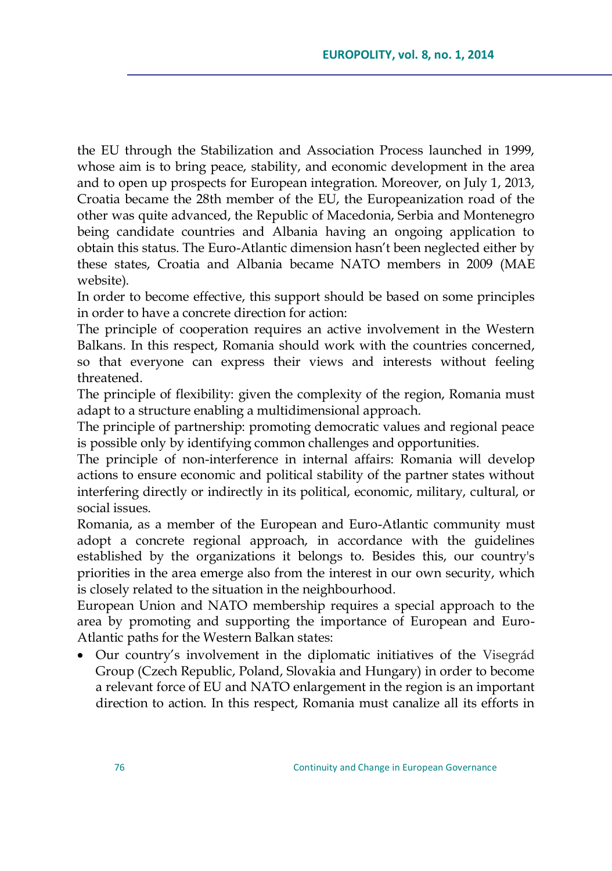the EU through the Stabilization and Association Process launched in 1999, whose aim is to bring peace, stability, and economic development in the area and to open up prospects for European integration. Moreover, on July 1, 2013, Croatia became the 28th member of the EU, the Europeanization road of the other was quite advanced, the Republic of Macedonia, Serbia and Montenegro being candidate countries and Albania having an ongoing application to obtain this status. The Euro-Atlantic dimension hasn"t been neglected either by these states, Croatia and Albania became NATO members in 2009 (MAE website).

In order to become effective, this support should be based on some principles in order to have a concrete direction for action:

The principle of cooperation requires an active involvement in the Western Balkans. In this respect, Romania should work with the countries concerned, so that everyone can express their views and interests without feeling threatened.

The principle of flexibility: given the complexity of the region, Romania must adapt to a structure enabling a multidimensional approach.

The principle of partnership: promoting democratic values and regional peace is possible only by identifying common challenges and opportunities.

The principle of non-interference in internal affairs: Romania will develop actions to ensure economic and political stability of the partner states without interfering directly or indirectly in its political, economic, military, cultural, or social issues.

Romania, as a member of the European and Euro-Atlantic community must adopt a concrete regional approach, in accordance with the guidelines established by the organizations it belongs to. Besides this, our country's priorities in the area emerge also from the interest in our own security, which is closely related to the situation in the neighbourhood.

European Union and NATO membership requires a special approach to the area by promoting and supporting the importance of European and Euro-Atlantic paths for the Western Balkan states:

 Our country"s involvement in the diplomatic initiatives of the Visegrád Group (Czech Republic, Poland, Slovakia and Hungary) in order to become a relevant force of EU and NATO enlargement in the region is an important direction to action. In this respect, Romania must canalize all its efforts in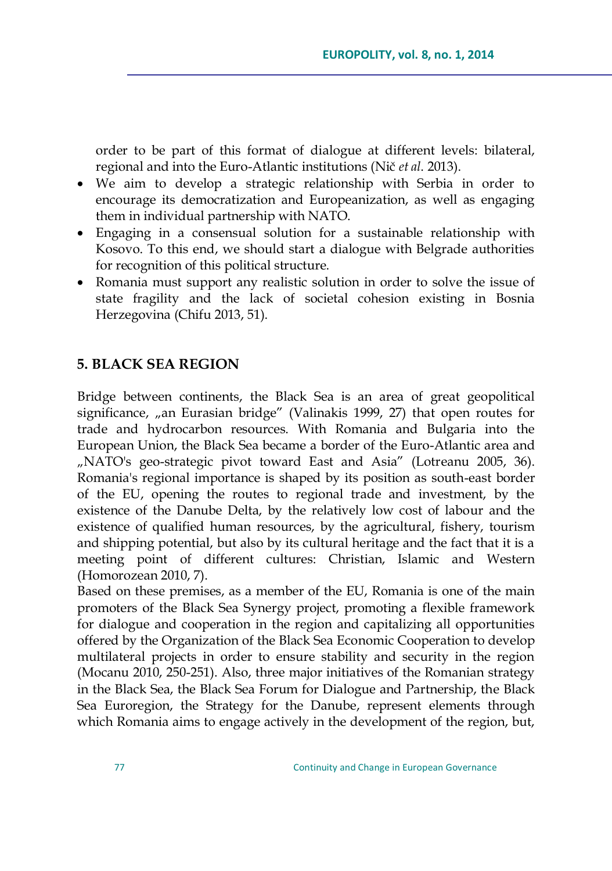order to be part of this format of dialogue at different levels: bilateral, regional and into the Euro-Atlantic institutions (Nič *et al*. 2013).

- We aim to develop a strategic relationship with Serbia in order to encourage its democratization and Europeanization, as well as engaging them in individual partnership with NATO.
- Engaging in a consensual solution for a sustainable relationship with Kosovo. To this end, we should start a dialogue with Belgrade authorities for recognition of this political structure.
- Romania must support any realistic solution in order to solve the issue of state fragility and the lack of societal cohesion existing in Bosnia Herzegovina (Chifu 2013, 51).

## **5. BLACK SEA REGION**

Bridge between continents, the Black Sea is an area of great geopolitical significance, "an Eurasian bridge" (Valinakis 1999, 27) that open routes for trade and hydrocarbon resources. With Romania and Bulgaria into the European Union, the Black Sea became a border of the Euro-Atlantic area and "NATO's geo-strategic pivot toward East and Asia" (Lotreanu 2005, 36). Romania's regional importance is shaped by its position as south-east border of the EU, opening the routes to regional trade and investment, by the existence of the Danube Delta, by the relatively low cost of labour and the existence of qualified human resources, by the agricultural, fishery, tourism and shipping potential, but also by its cultural heritage and the fact that it is a meeting point of different cultures: Christian, Islamic and Western (Homorozean 2010, 7).

Based on these premises, as a member of the EU, Romania is one of the main promoters of the Black Sea Synergy project, promoting a flexible framework for dialogue and cooperation in the region and capitalizing all opportunities offered by the Organization of the Black Sea Economic Cooperation to develop multilateral projects in order to ensure stability and security in the region (Mocanu 2010, 250-251). Also, three major initiatives of the Romanian strategy in the Black Sea, the Black Sea Forum for Dialogue and Partnership, the Black Sea Euroregion, the Strategy for the Danube, represent elements through which Romania aims to engage actively in the development of the region, but,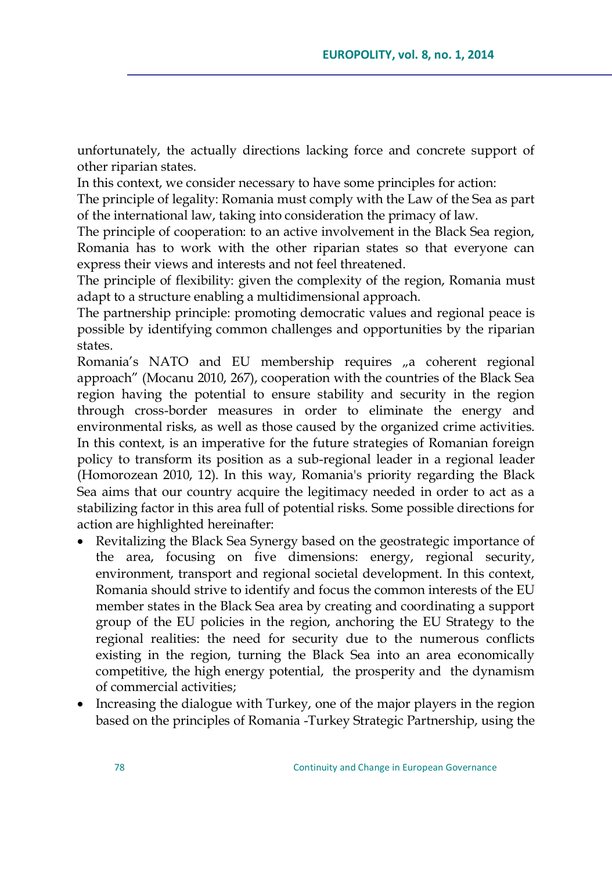unfortunately, the actually directions lacking force and concrete support of other riparian states.

In this context, we consider necessary to have some principles for action:

The principle of legality: Romania must comply with the Law of the Sea as part of the international law, taking into consideration the primacy of law.

The principle of cooperation: to an active involvement in the Black Sea region, Romania has to work with the other riparian states so that everyone can express their views and interests and not feel threatened.

The principle of flexibility: given the complexity of the region, Romania must adapt to a structure enabling a multidimensional approach.

The partnership principle: promoting democratic values and regional peace is possible by identifying common challenges and opportunities by the riparian states.

Romania's NATO and EU membership requires "a coherent regional approach" (Mocanu 2010, 267), cooperation with the countries of the Black Sea region having the potential to ensure stability and security in the region through cross-border measures in order to eliminate the energy and environmental risks, as well as those caused by the organized crime activities. In this context, is an imperative for the future strategies of Romanian foreign policy to transform its position as a sub-regional leader in a regional leader (Homorozean 2010, 12). In this way, Romania's priority regarding the Black Sea aims that our country acquire the legitimacy needed in order to act as a stabilizing factor in this area full of potential risks. Some possible directions for action are highlighted hereinafter:

- Revitalizing the Black Sea Synergy based on the geostrategic importance of the area, focusing on five dimensions: energy, regional security, environment, transport and regional societal development. In this context, Romania should strive to identify and focus the common interests of the EU member states in the Black Sea area by creating and coordinating a support group of the EU policies in the region, anchoring the EU Strategy to the regional realities: the need for security due to the numerous conflicts existing in the region, turning the Black Sea into an area economically competitive, the high energy potential, the prosperity and the dynamism of commercial activities;
- Increasing the dialogue with Turkey, one of the major players in the region based on the principles of Romania -Turkey Strategic Partnership, using the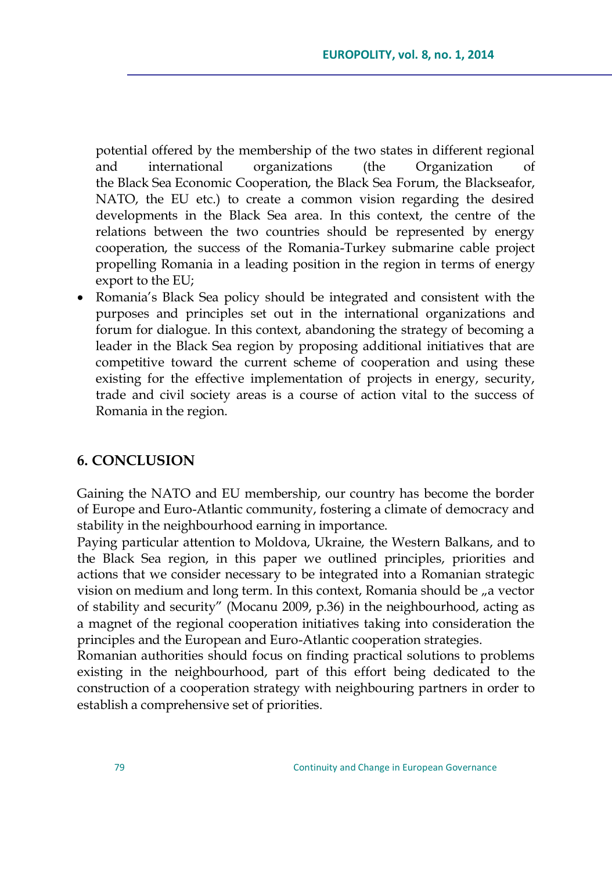potential offered by the membership of the two states in different regional and international organizations (the Organization of the Black Sea Economic Cooperation, the Black Sea Forum, the Blackseafor, NATO, the EU etc.) to create a common vision regarding the desired developments in the Black Sea area. In this context, the centre of the relations between the two countries should be represented by energy cooperation, the success of the Romania-Turkey submarine cable project propelling Romania in a leading position in the region in terms of energy export to the EU;

• Romania's Black Sea policy should be integrated and consistent with the purposes and principles set out in the international organizations and forum for dialogue. In this context, abandoning the strategy of becoming a leader in the Black Sea region by proposing additional initiatives that are competitive toward the current scheme of cooperation and using these existing for the effective implementation of projects in energy, security, trade and civil society areas is a course of action vital to the success of Romania in the region.

## **6. CONCLUSION**

Gaining the NATO and EU membership, our country has become the border of Europe and Euro-Atlantic community, fostering a climate of democracy and stability in the neighbourhood earning in importance.

Paying particular attention to Moldova, Ukraine, the Western Balkans, and to the Black Sea region, in this paper we outlined principles, priorities and actions that we consider necessary to be integrated into a Romanian strategic vision on medium and long term. In this context, Romania should be <sub>n</sub>a vector of stability and security" (Mocanu 2009, p.36) in the neighbourhood, acting as a magnet of the regional cooperation initiatives taking into consideration the principles and the European and Euro-Atlantic cooperation strategies.

Romanian authorities should focus on finding practical solutions to problems existing in the neighbourhood, part of this effort being dedicated to the construction of a cooperation strategy with neighbouring partners in order to establish a comprehensive set of priorities.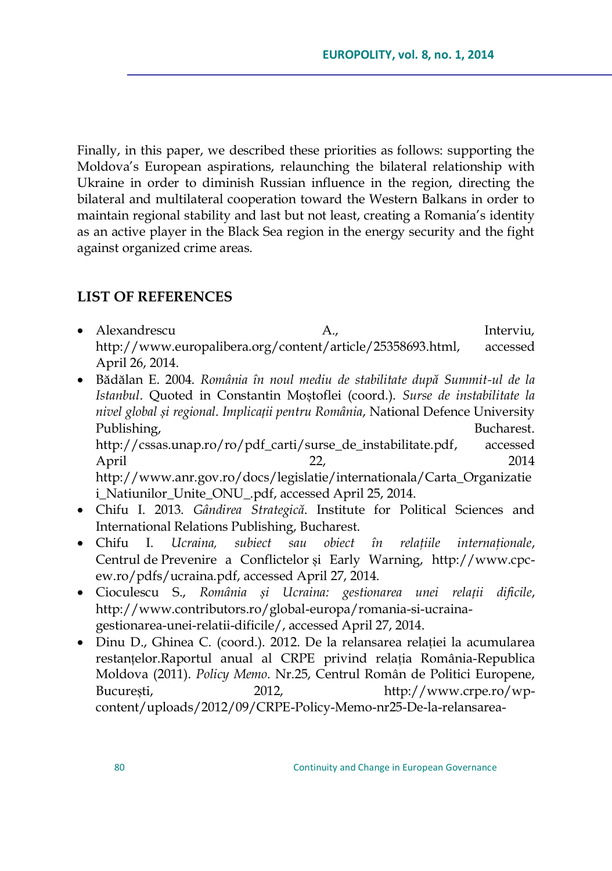Finally, in this paper, we described these priorities as follows: supporting the Moldova"s European aspirations, relaunching the bilateral relationship with Ukraine in order to diminish Russian influence in the region, directing the bilateral and multilateral cooperation toward the Western Balkans in order to maintain regional stability and last but not least, creating a Romania"s identity as an active player in the Black Sea region in the energy security and the fight against organized crime areas.

## **LIST OF REFERENCES**

- Alexandrescu and A., and Interviu, [http://www.europalibera.org/content/article/25358693.html,](http://www.europalibera.org/content/article/25358693.html) accessed April 26, 2014.
- Bădălan E. 2004. *România în noul mediu de stabilitate după Summit-ul de la Istanbul*. Quoted in Constantin Moștoflei (coord.). *Surse de instabilitate la nivel global și regional. Implicații pentru România*, National Defence University Publishing, Bucharest. [http://cssas.unap.ro/ro/pdf\\_carti/surse\\_de\\_instabilitate.pdf,](http://cssas.unap.ro/ro/pdf_carti/surse_de_instabilitate.pdf) accessed April 22, 2014 [http://www.anr.gov.ro/docs/legislatie/internationala/Carta\\_Organizatie](http://www.anr.gov.ro/docs/legislatie/internationala/Carta_Organizatiei_Natiunilor_Unite_ONU_.pdf) [i\\_Natiunilor\\_Unite\\_ONU\\_.pdf,](http://www.anr.gov.ro/docs/legislatie/internationala/Carta_Organizatiei_Natiunilor_Unite_ONU_.pdf) accessed April 25, 2014.
- Chifu I. 2013. *Gândirea Strategică*. Institute for Political Sciences and International Relations Publishing, Bucharest.
- Chifu I. *Ucraina, subiect sau obiect în relaţiile internaţionale*, Centrul de Prevenire a Conflictelor și Early Warning, [http://www.cpc](http://www.cpc-ew.ro/pdfs/ucraina.pdf)[ew.ro/pdfs/ucraina.pdf,](http://www.cpc-ew.ro/pdfs/ucraina.pdf) accessed April 27, 2014.
- Cioculescu S., *România și Ucraina: gestionarea unei relații dificile*, [http://www.contributors.ro/global-europa/romania-si-ucraina](http://www.contributors.ro/global-europa/romania-si-ucraina-gestionarea-unei-relatii-dificile/)[gestionarea-unei-relatii-dificile/,](http://www.contributors.ro/global-europa/romania-si-ucraina-gestionarea-unei-relatii-dificile/) accessed April 27, 2014.
- Dinu D., Ghinea C. (coord.). 2012. De la relansarea relației la acumularea restanțelor.Raportul anual al CRPE privind relația România-Republica Moldova (2011). *Policy Memo*. Nr.25, Centrul Român de Politici Europene, București, 2012, [http://www.crpe.ro/wp](http://www.crpe.ro/wp-content/uploads/2012/09/CRPE-Policy-Memo-nr25-De-la-relansarea-relatiei-la-acumularea-restantelor-Raportul-anual-CRPE-privind-relatia-Romania-Republica-Moldova-2011.pdf)[content/uploads/2012/09/CRPE-Policy-Memo-nr25-De-la-relansarea-](http://www.crpe.ro/wp-content/uploads/2012/09/CRPE-Policy-Memo-nr25-De-la-relansarea-relatiei-la-acumularea-restantelor-Raportul-anual-CRPE-privind-relatia-Romania-Republica-Moldova-2011.pdf)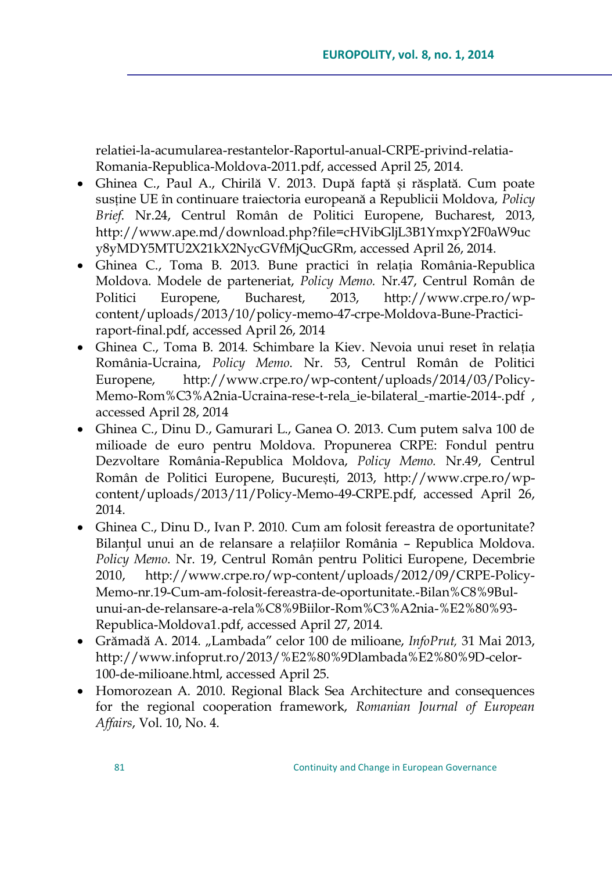relatiei-la-acumularea-restantelor-Raportul-anual-CRPE-privind-relatia-Romania-Republica-Moldova-2011.pdf, accessed April 25, 2014.

- Ghinea C., Paul A., Chirilă V. 2013. După faptă și răsplată. Cum poate susține UE în continuare traiectoria europeană a Republicii Moldova, *Policy Brief*. Nr.24, Centrul Român de Politici Europene, Bucharest, 2013, [http://www.ape.md/download.php?file=cHVibGljL3B1YmxpY2F0aW9uc](http://www.ape.md/download.php?file=cHVibGljL3B1YmxpY2F0aW9ucy8yMDY5MTU2X21kX2NycGVfMjQucGRm) [y8yMDY5MTU2X21kX2NycGVfMjQucGRm,](http://www.ape.md/download.php?file=cHVibGljL3B1YmxpY2F0aW9ucy8yMDY5MTU2X21kX2NycGVfMjQucGRm) accessed April 26, 2014.
- Ghinea C., Toma B. 2013. Bune practici în relația România-Republica Moldova. Modele de parteneriat, *Policy Memo.* Nr.47, Centrul Român de Politici Europene, Bucharest, 2013, [http://www.crpe.ro/wp](http://www.crpe.ro/wp-content/uploads/2013/10/policy-memo-47-crpe-Moldova-Bune-Practici-raport-final.pdf)[content/uploads/2013/10/policy-memo-47-crpe-Moldova-Bune-Practici](http://www.crpe.ro/wp-content/uploads/2013/10/policy-memo-47-crpe-Moldova-Bune-Practici-raport-final.pdf)[raport-final.pdf,](http://www.crpe.ro/wp-content/uploads/2013/10/policy-memo-47-crpe-Moldova-Bune-Practici-raport-final.pdf) accessed April 26, 2014
- Ghinea C., Toma B. 2014. Schimbare la Kiev. Nevoia unui reset în relația România-Ucraina, *Policy Memo*. Nr. 53, Centrul Român de Politici Europene, [http://www.crpe.ro/wp-content/uploads/2014/03/Policy-](http://www.crpe.ro/wp-content/uploads/2014/03/Policy-Memo-Rom%C3%A2nia-Ucraina-rese-t-rela_ie-bilateral_-martie-2014-.pdf)[Memo-Rom%C3%A2nia-Ucraina-rese-t-rela\\_ie-bilateral\\_-martie-2014-.pdf](http://www.crpe.ro/wp-content/uploads/2014/03/Policy-Memo-Rom%C3%A2nia-Ucraina-rese-t-rela_ie-bilateral_-martie-2014-.pdf) , accessed April 28, 2014
- Ghinea C., Dinu D., Gamurari L., Ganea O. 2013. Cum putem salva 100 de milioade de euro pentru Moldova. Propunerea CRPE: Fondul pentru Dezvoltare România-Republica Moldova, *Policy Memo.* Nr.49, Centrul Român de Politici Europene, București, 2013, [http://www.crpe.ro/wp](http://www.crpe.ro/wp-content/uploads/2013/11/Policy-Memo-49-CRPE.pdf)[content/uploads/2013/11/Policy-Memo-49-CRPE.pdf,](http://www.crpe.ro/wp-content/uploads/2013/11/Policy-Memo-49-CRPE.pdf) accessed April 26, 2014.
- Ghinea C., Dinu D., Ivan P. 2010. Cum am folosit fereastra de oportunitate? Bilanțul unui an de relansare a relațiilor România - Republica Moldova. *Policy Memo*. Nr. 19, Centrul Român pentru Politici Europene, Decembrie 2010, [http://www.crpe.ro/wp-content/uploads/2012/09/CRPE-Policy-](http://www.crpe.ro/wp-content/uploads/2012/09/CRPE-Policy-Memo-nr.19-Cum-am-folosit-fereastra-de-oportunitate.-Bilan%C8%9Bul-unui-an-de-relansare-a-rela%C8%9Biilor-Rom%C3%A2nia-%E2%80%93-Republica-Moldova1.pdf)[Memo-nr.19-Cum-am-folosit-fereastra-de-oportunitate.-Bilan%C8%9Bul](http://www.crpe.ro/wp-content/uploads/2012/09/CRPE-Policy-Memo-nr.19-Cum-am-folosit-fereastra-de-oportunitate.-Bilan%C8%9Bul-unui-an-de-relansare-a-rela%C8%9Biilor-Rom%C3%A2nia-%E2%80%93-Republica-Moldova1.pdf)[unui-an-de-relansare-a-rela%C8%9Biilor-Rom%C3%A2nia-%E2%80%93-](http://www.crpe.ro/wp-content/uploads/2012/09/CRPE-Policy-Memo-nr.19-Cum-am-folosit-fereastra-de-oportunitate.-Bilan%C8%9Bul-unui-an-de-relansare-a-rela%C8%9Biilor-Rom%C3%A2nia-%E2%80%93-Republica-Moldova1.pdf) [Republica-Moldova1.pdf,](http://www.crpe.ro/wp-content/uploads/2012/09/CRPE-Policy-Memo-nr.19-Cum-am-folosit-fereastra-de-oportunitate.-Bilan%C8%9Bul-unui-an-de-relansare-a-rela%C8%9Biilor-Rom%C3%A2nia-%E2%80%93-Republica-Moldova1.pdf) accessed April 27, 2014.
- Grămadă A. 2014. "Lambada" celor 100 de milioane, *InfoPrut,* 31 Mai 2013, [http://www.infoprut.ro/2013/%E2%80%9Dlambada%E2%80%9D-celor-](http://www.infoprut.ro/2013/%E2%80%9Dlambada%E2%80%9D-celor-100-de-milioane.html)[100-de-milioane.html,](http://www.infoprut.ro/2013/%E2%80%9Dlambada%E2%80%9D-celor-100-de-milioane.html) accessed April 25.
- Homorozean A. 2010. Regional Black Sea Architecture and consequences for the regional cooperation framework, *Romanian Journal of European Affairs*, Vol. 10, No. 4.